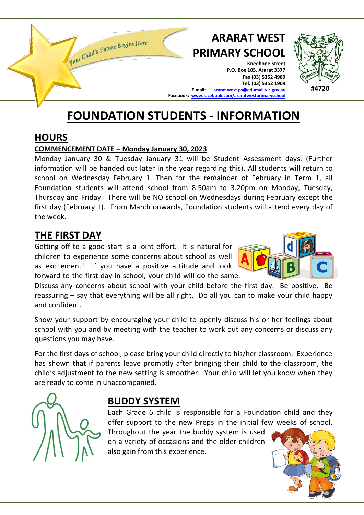

#### **HOURS**

#### **COMMENCEMENT DATE – Monday January 30, 2023**

Monday January 30 & Tuesday January 31 will be Student Assessment days. (Further information will be handed out later in the year regarding this). All students will return to school on Wednesday February 1. Then for the remainder of February in Term 1, all Foundation students will attend school from 8.50am to 3.20pm on Monday, Tuesday, Thursday and Friday. There will be NO school on Wednesdays during February except the first day (February 1). From March onwards, Foundation students will attend every day of the week.

#### **THE FIRST DAY**

Getting off to a good start is a joint effort. It is natural for children to experience some concerns about school as well as excitement! If you have a positive attitude and look forward to the first day in school, your child will do the same.

Discuss any concerns about school with your child before the first day. Be positive. Be reassuring – say that everything will be all right. Do all you can to make your child happy and confident.

Show your support by encouraging your child to openly discuss his or her feelings about school with you and by meeting with the teacher to work out any concerns or discuss any questions you may have.

For the first days of school, please bring your child directly to his/her classroom. Experience has shown that if parents leave promptly after bringing their child to the classroom, the child's adjustment to the new setting is smoother. Your child will let you know when they are ready to come in unaccompanied.



#### **BUDDY SYSTEM**

Each Grade 6 child is responsible for a Foundation child and they offer support to the new Preps in the initial few weeks of school.

Throughout the year the buddy system is used on a variety of occasions and the older children also gain from this experience.

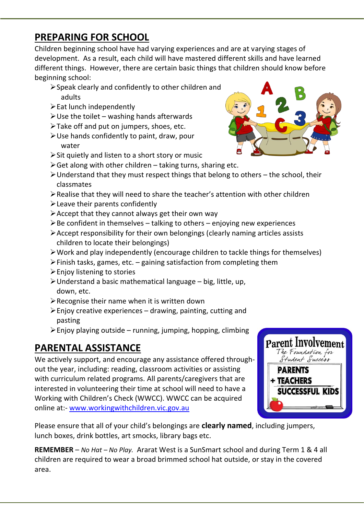### **PREPARING FOR SCHOOL**

Children beginning school have had varying experiences and are at varying stages of development. As a result, each child will have mastered different skills and have learned different things. However, there are certain basic things that children should know before beginning school:

- ➢Speak clearly and confidently to other children and adults
- $\triangleright$  Eat lunch independently
- $\triangleright$  Use the toilet washing hands afterwards
- ➢Take off and put on jumpers, shoes, etc.
- ➢Use hands confidently to paint, draw, pour water
- ➢Sit quietly and listen to a short story or music
- $\triangleright$  Get along with other children taking turns, sharing etc.
- ➢Understand that they must respect things that belong to others the school, their classmates
- ➢Realise that they will need to share the teacher's attention with other children
- ➢Leave their parents confidently
- $\triangleright$  Accept that they cannot always get their own way
- $\triangleright$  Be confident in themselves talking to others enjoying new experiences
- ➢Accept responsibility for their own belongings (clearly naming articles assists children to locate their belongings)
- ➢Work and play independently (encourage children to tackle things for themselves)
- $\triangleright$  Finish tasks, games, etc. gaining satisfaction from completing them
- ➢Enjoy listening to stories
- ➢Understand a basic mathematical language big, little, up, down, etc.
- $\triangleright$  Recognise their name when it is written down
- $\triangleright$  Enjoy creative experiences drawing, painting, cutting and pasting
- $\triangleright$  Enjoy playing outside running, jumping, hopping, climbing

## **PARENTAL ASSISTANCE**

We actively support, and encourage any assistance offered throughout the year, including: reading, classroom activities or assisting with curriculum related programs. All parents/caregivers that are interested in volunteering their time at school will need to have a Working with Children's Check (WWCC). WWCC can be acquired online at:- [www.workingwithchildren.vic.gov.au](http://www.workingwithchildren.vic.gov.au/)



Please ensure that all of your child's belongings are **clearly named**, including jumpers, lunch boxes, drink bottles, art smocks, library bags etc.

**REMEMBER** – *No Hat – No Play.* Ararat West is a SunSmart school and during Term 1 & 4 all children are required to wear a broad brimmed school hat outside, or stay in the covered area.

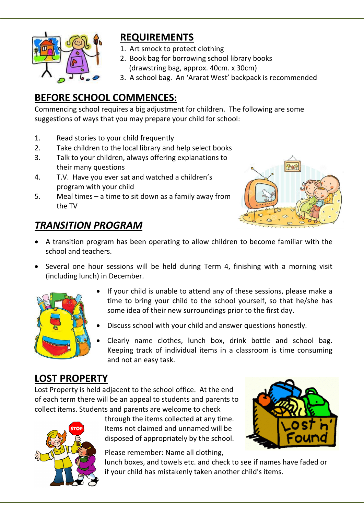

## **REQUIREMENTS**

- 1. Art smock to protect clothing
- 2. Book bag for borrowing school library books (drawstring bag, approx. 40cm. x 30cm)
- 3. A school bag. An 'Ararat West' backpack is recommended

# **BEFORE SCHOOL COMMENCES:**

Commencing school requires a big adjustment for children. The following are some suggestions of ways that you may prepare your child for school:

- 1. Read stories to your child frequently
- 2. Take children to the local library and help select books
- 3. Talk to your children, always offering explanations to their many questions
- 4. T.V. Have you ever sat and watched a children's program with your child
- 5. Meal times a time to sit down as a family away from the TV



### *TRANSITION PROGRAM*

- A transition program has been operating to allow children to become familiar with the school and teachers.
- Several one hour sessions will be held during Term 4, finishing with a morning visit (including lunch) in December.



- If your child is unable to attend any of these sessions, please make a time to bring your child to the school yourself, so that he/she has some idea of their new surroundings prior to the first day.
- Discuss school with your child and answer questions honestly.
- Clearly name clothes, lunch box, drink bottle and school bag. Keeping track of individual items in a classroom is time consuming and not an easy task.

## **LOST PROPERTY**

Lost Property is held adjacent to the school office. At the end of each term there will be an appeal to students and parents to collect items. Students and parents are welcome to check



through the items collected at any time. Items not claimed and unnamed will be disposed of appropriately by the school.

Please remember: Name all clothing,

lunch boxes, and towels etc. and check to see if names have faded or if your child has mistakenly taken another child's items.